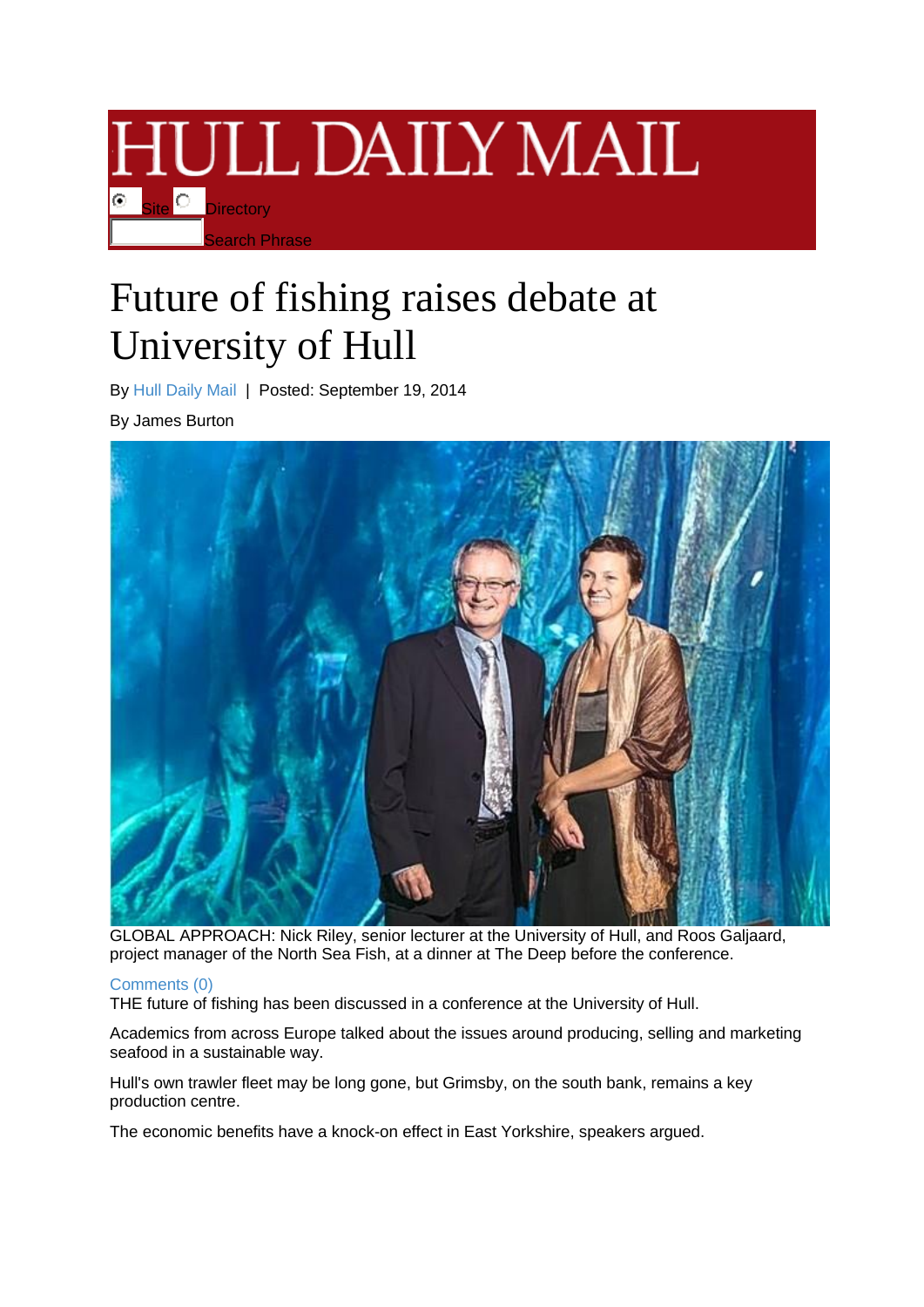

## Future of fishing raises debate at University of Hull

By [Hull Daily Mail](http://www.hulldailymail.co.uk/people/Hull%20Daily%20Mail/profile.html) | Posted: September 19, 2014

By James Burton



GLOBAL APPROACH: Nick Riley, senior lecturer at the University of Hull, and Roos Galjaard, project manager of the North Sea Fish, at a dinner at The Deep before the conference.

## [Comments](http://www.hulldailymail.co.uk/Future-fishing-raises-debate-University-Hull/story-22950170-detail/story.html#comments) (0)

THE future of fishing has been discussed in a conference at the University of Hull.

Academics from across Europe talked about the issues around producing, selling and marketing seafood in a sustainable way.

Hull's own trawler fleet may be long gone, but Grimsby, on the south bank, remains a key production centre.

The economic benefits have a knock-on effect in East Yorkshire, speakers argued.